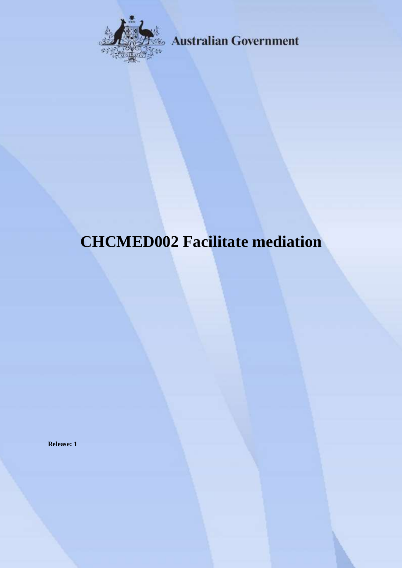

**Australian Government** 

# **CHCMED002 Facilitate mediation**

**Release: 1**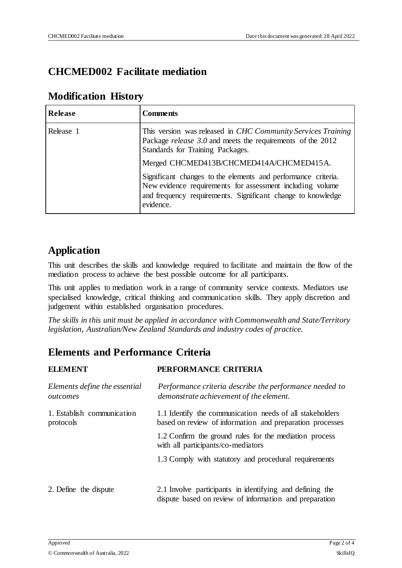## **CHCMED002 Facilitate mediation**

### **Modification History**

| Release   | <b>Comments</b>                                                                                                                                                                                        |
|-----------|--------------------------------------------------------------------------------------------------------------------------------------------------------------------------------------------------------|
| Release 1 | This version was released in <i>CHC Community Services Training</i><br>Package <i>release</i> 3.0 and meets the requirements of the 2012<br>Standards for Training Packages.                           |
|           | Merged CHCMED413B/CHCMED414A/CHCMED415A.                                                                                                                                                               |
|           | Significant changes to the elements and performance criteria.<br>New evidence requirements for assessment including volume<br>and frequency requirements. Significant change to knowledge<br>evidence. |

## **Application**

This unit describes the skills and knowledge required to facilitate and maintain the flow of the mediation process to achieve the best possible outcome for all participants.

This unit applies to mediation work in a range of community service contexts. Mediators use specialised knowledge, critical thinking and communication skills. They apply discretion and judgement within established organisation procedures.

*The skills in this unit must be applied in accordance with Commonwealth and State/Territory legislation, Australian/New Zealand Standards and industry codes of practice.*

## **Elements and Performance Criteria**

| <b>ELEMENT</b>                            | PERFORMANCE CRITERIA                                                                                                 |
|-------------------------------------------|----------------------------------------------------------------------------------------------------------------------|
| Elements define the essential<br>outcomes | Performance criteria describe the performance needed to<br>demonstrate achievement of the element.                   |
| 1. Establish communication<br>protocols   | 1.1 Identify the communication needs of all stakeholders<br>based on review of information and preparation processes |
|                                           | 1.2 Confirm the ground rules for the mediation process<br>with all participants/co-mediators                         |
|                                           | 1.3 Comply with statutory and procedural requirements                                                                |
| 2. Define the dispute                     | 2.1 Involve participants in identifying and defining the<br>dispute based on review of information and preparation   |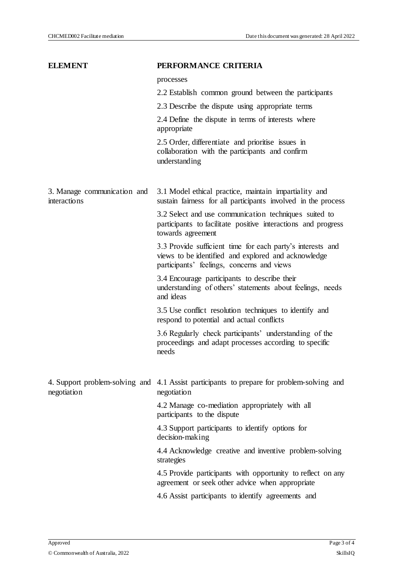| <b>ELEMENT</b>                              | PERFORMANCE CRITERIA                                                                                                                                            |
|---------------------------------------------|-----------------------------------------------------------------------------------------------------------------------------------------------------------------|
|                                             | processes                                                                                                                                                       |
|                                             | 2.2 Establish common ground between the participants                                                                                                            |
|                                             | 2.3 Describe the dispute using appropriate terms                                                                                                                |
|                                             | 2.4 Define the dispute in terms of interests where<br>appropriate                                                                                               |
|                                             | 2.5 Order, differentiate and prioritise issues in<br>collaboration with the participants and confirm<br>understanding                                           |
| 3. Manage communication and<br>interactions | 3.1 Model ethical practice, maintain impartiality and<br>sustain fairness for all participants involved in the process                                          |
|                                             | 3.2 Select and use communication techniques suited to<br>participants to facilitate positive interactions and progress<br>towards agreement                     |
|                                             | 3.3 Provide sufficient time for each party's interests and<br>views to be identified and explored and acknowledge<br>participants' feelings, concerns and views |
|                                             | 3.4 Encourage participants to describe their<br>understanding of others' statements about feelings, needs<br>and ideas                                          |
|                                             | 3.5 Use conflict resolution techniques to identify and<br>respond to potential and actual conflicts                                                             |
|                                             | 3.6 Regularly check participants' understanding of the<br>proceedings and adapt processes according to specific<br>needs                                        |
| negotiation                                 | 4. Support problem-solving and 4.1 Assist participants to prepare for problem-solving and<br>negotiation                                                        |
|                                             | 4.2 Manage co-mediation appropriately with all<br>participants to the dispute                                                                                   |
|                                             | 4.3 Support participants to identify options for<br>decision-making                                                                                             |
|                                             | 4.4 Acknowledge creative and inventive problem-solving<br>strategies                                                                                            |
|                                             | 4.5 Provide participants with opportunity to reflect on any<br>agreement or seek other advice when appropriate                                                  |
|                                             | 4.6 Assist participants to identify agreements and                                                                                                              |